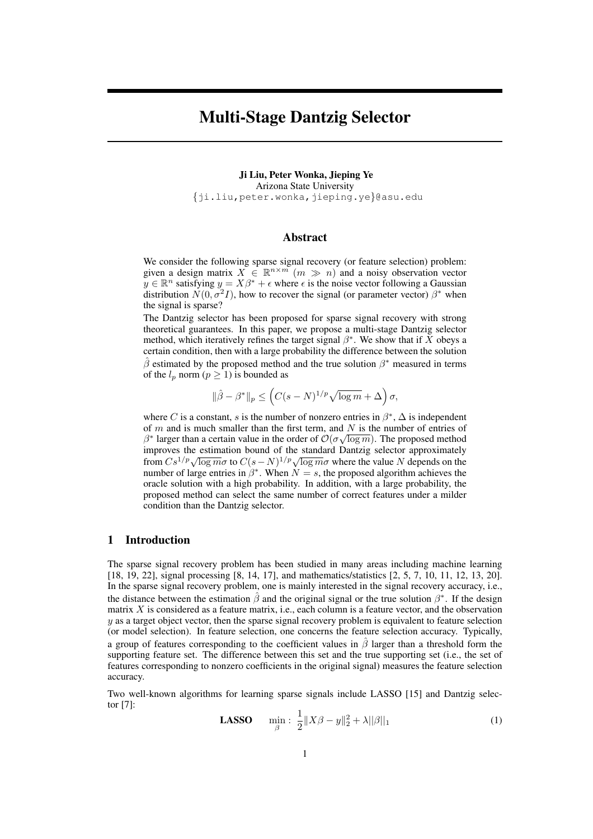# Multi-Stage Dantzig Selector

Ji Liu, Peter Wonka, Jieping Ye Arizona State University {ji.liu,peter.wonka,jieping.ye}@asu.edu

## Abstract

We consider the following sparse signal recovery (or feature selection) problem: given a design matrix  $X \in \mathbb{R}^{n \times m}$   $(m \gg n)$  and a noisy observation vector  $y \in \mathbb{R}^n$  satisfying  $y = X\beta^* + \epsilon$  where  $\epsilon$  is the noise vector following a Gaussian distribution  $N(0, \sigma^2 I)$ , how to recover the signal (or parameter vector)  $\beta^*$  when the signal is sparse?

The Dantzig selector has been proposed for sparse signal recovery with strong theoretical guarantees. In this paper, we propose a multi-stage Dantzig selector method, which iteratively refines the target signal  $\beta^*$ . We show that if X obeys a certain condition, then with a large probability the difference between the solution  $\hat{\beta}$  estimated by the proposed method and the true solution  $\beta^*$  measured in terms of the  $l_p$  norm  $(p \ge 1)$  is bounded as

$$
\|\hat{\beta} - \beta^*\|_p \le \left( C(s - N)^{1/p} \sqrt{\log m} + \Delta \right) \sigma,
$$

where C is a constant, s is the number of nonzero entries in  $\beta^*$ ,  $\Delta$  is independent of m and is much smaller than the first term, and N is the number of entries of  $\beta^*$  larger than a certain value in the order of  $\mathcal{O}(\sigma\sqrt{\log m})$ . The proposed method improves the estimation bound of the standard Dantzig selector approximately from  $Cs^{1/p}\sqrt{\log m}\sigma$  to  $C(s-N)^{1/p}\sqrt{\log m}\sigma$  where the value N depends on the number of large entries in  $\beta^*$ . When  $N = s$ , the proposed algorithm achieves the oracle solution with a high probability. In addition, with a large probability, the proposed method can select the same number of correct features under a milder condition than the Dantzig selector.

# 1 Introduction

The sparse signal recovery problem has been studied in many areas including machine learning [18, 19, 22], signal processing [8, 14, 17], and mathematics/statistics [2, 5, 7, 10, 11, 12, 13, 20]. In the sparse signal recovery problem, one is mainly interested in the signal recovery accuracy, i.e., the distance between the estimation  $\hat{\beta}$  and the original signal or the true solution  $\beta^*$ . If the design matrix  $X$  is considered as a feature matrix, i.e., each column is a feature vector, and the observation y as a target object vector, then the sparse signal recovery problem is equivalent to feature selection (or model selection). In feature selection, one concerns the feature selection accuracy. Typically, a group of features corresponding to the coefficient values in  $\hat{\beta}$  larger than a threshold form the supporting feature set. The difference between this set and the true supporting set (i.e., the set of features corresponding to nonzero coefficients in the original signal) measures the feature selection accuracy.

Two well-known algorithms for learning sparse signals include LASSO [15] and Dantzig selector [7]:

**LASSO** 
$$
\min_{\beta} : \frac{1}{2} \|X\beta - y\|_2^2 + \lambda \|\beta\|_1
$$
 (1)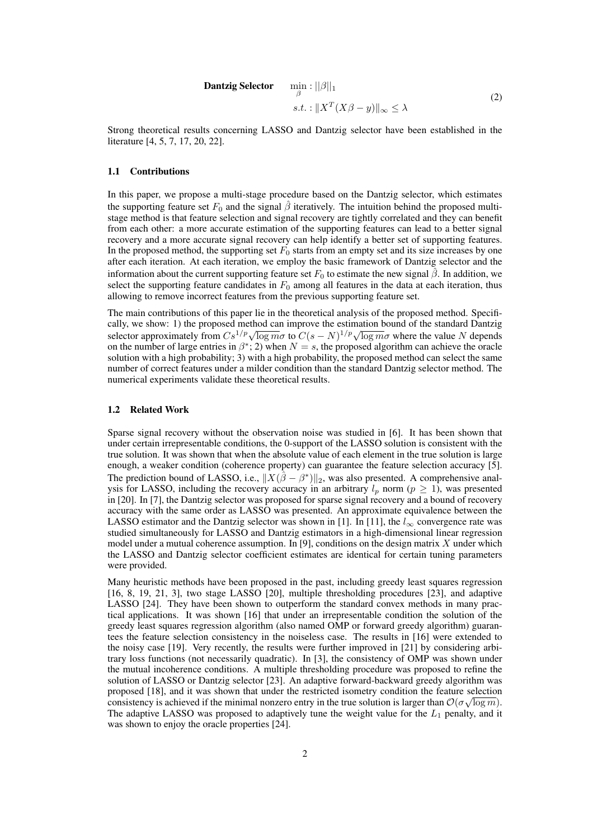**Dantzig Selector** 
$$
\min_{\beta} : ||\beta||_1
$$
  
s.t. :  $||X^T(X\beta - y)||_{\infty} \le \lambda$  (2)

Strong theoretical results concerning LASSO and Dantzig selector have been established in the literature [4, 5, 7, 17, 20, 22].

### 1.1 Contributions

In this paper, we propose a multi-stage procedure based on the Dantzig selector, which estimates the supporting feature set  $F_0$  and the signal  $\hat{\beta}$  iteratively. The intuition behind the proposed multistage method is that feature selection and signal recovery are tightly correlated and they can benefit from each other: a more accurate estimation of the supporting features can lead to a better signal recovery and a more accurate signal recovery can help identify a better set of supporting features. In the proposed method, the supporting set  $F_0$  starts from an empty set and its size increases by one after each iteration. At each iteration, we employ the basic framework of Dantzig selector and the information about the current supporting feature set  $F_0$  to estimate the new signal  $\hat{\beta}$ . In addition, we select the supporting feature candidates in  $F_0$  among all features in the data at each iteration, thus allowing to remove incorrect features from the previous supporting feature set.

The main contributions of this paper lie in the theoretical analysis of the proposed method. Specifically, we show: 1) the proposed method can improve the estimation bound of the standard Dantzig cally, we show: 1) the proposed method can improve the estimation bound of the standard Dantzig selector approximately from  $Cs^{1/p}\sqrt{\log m\sigma}$  to  $C(s - N)^{1/p}\sqrt{\log m\sigma}$  where the value N depends on the number of large entries in  $\beta^*$ ; 2) when  $N = s$ , the proposed algorithm can achieve the oracle solution with a high probability; 3) with a high probability, the proposed method can select the same number of correct features under a milder condition than the standard Dantzig selector method. The numerical experiments validate these theoretical results.

#### 1.2 Related Work

Sparse signal recovery without the observation noise was studied in [6]. It has been shown that under certain irrepresentable conditions, the 0-support of the LASSO solution is consistent with the true solution. It was shown that when the absolute value of each element in the true solution is large enough, a weaker condition (coherence property) can guarantee the feature selection accuracy [5]. The prediction bound of LASSO, i.e.,  $||\overline{X}(\overline{\hat{\beta}} - \beta^*)||_2$ , was also presented. A comprehensive analysis for LASSO, including the recovery accuracy in an arbitrary  $l_p$  norm ( $p \ge 1$ ), was presented in [20]. In [7], the Dantzig selector was proposed for sparse signal recovery and a bound of recovery accuracy with the same order as LASSO was presented. An approximate equivalence between the LASSO estimator and the Dantzig selector was shown in [1]. In [11], the  $l_{\infty}$  convergence rate was studied simultaneously for LASSO and Dantzig estimators in a high-dimensional linear regression model under a mutual coherence assumption. In [9], conditions on the design matrix  $X$  under which the LASSO and Dantzig selector coefficient estimates are identical for certain tuning parameters were provided.

Many heuristic methods have been proposed in the past, including greedy least squares regression [16, 8, 19, 21, 3], two stage LASSO [20], multiple thresholding procedures [23], and adaptive LASSO [24]. They have been shown to outperform the standard convex methods in many practical applications. It was shown [16] that under an irrepresentable condition the solution of the greedy least squares regression algorithm (also named OMP or forward greedy algorithm) guarantees the feature selection consistency in the noiseless case. The results in [16] were extended to the noisy case [19]. Very recently, the results were further improved in [21] by considering arbitrary loss functions (not necessarily quadratic). In [3], the consistency of OMP was shown under the mutual incoherence conditions. A multiple thresholding procedure was proposed to refine the solution of LASSO or Dantzig selector [23]. An adaptive forward-backward greedy algorithm was proposed [18], and it was shown that under the restricted isometry condition the feature selection consistency is achieved if the minimal nonzero entry in the true solution is larger than  $\mathcal{O}(\sigma\sqrt{\log m})$ . The adaptive LASSO was proposed to adaptively tune the weight value for the  $L_1$  penalty, and it was shown to enjoy the oracle properties [24].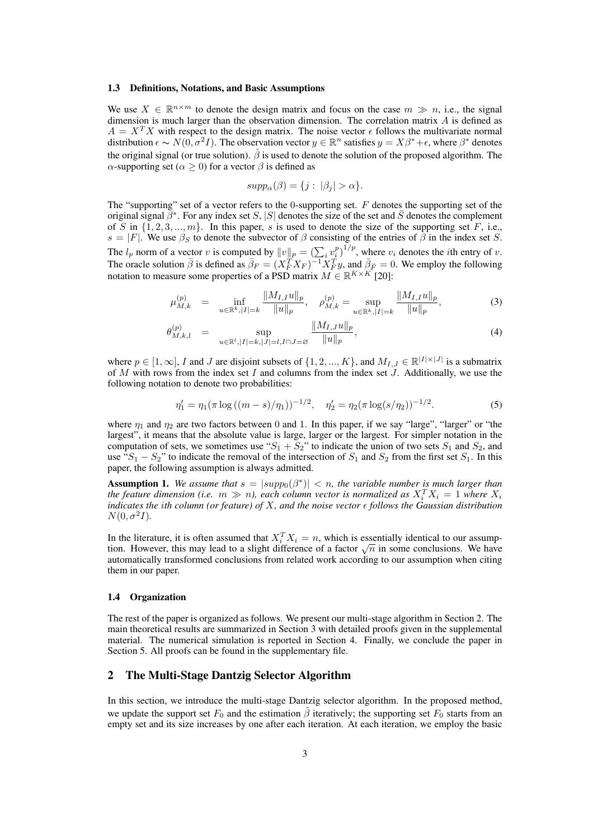#### 1.3 Definitions, Notations, and Basic Assumptions

We use  $X \in \mathbb{R}^{n \times m}$  to denote the design matrix and focus on the case  $m \gg n$ , i.e., the signal dimension is much larger than the observation dimension. The correlation matrix A is defined as  $A = X^T X$  with respect to the design matrix. The noise vector  $\epsilon$  follows the multivariate normal distribution  $\epsilon \sim N(0, \sigma^2 I)$ . The observation vector  $y \in \mathbb{R}^n$  satisfies  $y = X\beta^* + \epsilon$ , where  $\beta^*$  denotes the original signal (or true solution).  $\hat{\beta}$  is used to denote the solution of the proposed algorithm. The α-supporting set ( $\alpha \ge 0$ ) for a vector  $\beta$  is defined as

$$
supp_{\alpha}(\beta) = \{j : |\beta_j| > \alpha\}.
$$

The "supporting" set of a vector refers to the 0-supporting set.  $F$  denotes the supporting set of the original signal  $\beta^*$ . For any index set S, |S| denotes the size of the set and  $\bar{S}$  denotes the complement of S in  $\{1, 2, 3, \ldots, m\}$ . In this paper, s is used to denote the size of the supporting set F, i.e.,  $s = |F|$ . We use  $\beta_S$  to denote the subvector of  $\beta$  consisting of the entries of  $\beta$  in the index set S. The  $l_p$  norm of a vector v is computed by  $||v||_p = \left(\sum_i v_i^p\right)^{1/p}$ , where  $v_i$  denotes the *i*th entry of v. The oracle solution  $\bar{\beta}$  is defined as  $\bar{\beta}_F = (X_F^T X_F)^{-1} X_F^T y$ , and  $\bar{\beta}_F = 0$ . We employ the following notation to measure some properties of a PSD matrix  $M \in \mathbb{R}^{K \times K}$  [20]:

$$
\mu_{M,k}^{(p)} = \inf_{u \in \mathbb{R}^k, |I| = k} \frac{\|M_{I,I}u\|_p}{\|u\|_p}, \quad \rho_{M,k}^{(p)} = \sup_{u \in \mathbb{R}^k, |I| = k} \frac{\|M_{I,I}u\|_p}{\|u\|_p},\tag{3}
$$

$$
\theta_{M,k,l}^{(p)} = \sup_{u \in \mathbb{R}^l, |I| = k, |J| = l, I \cap J = \varnothing} \frac{\|M_{I,J}u\|_p}{\|u\|_p},\tag{4}
$$

where  $p \in [1,\infty]$ , I and J are disjoint subsets of  $\{1,2,...,K\}$ , and  $M_{I,J} \in \mathbb{R}^{|I| \times |J|}$  is a submatrix of M with rows from the index set I and columns from the index set  $J$ . Additionally, we use the following notation to denote two probabilities:

$$
\eta_1' = \eta_1(\pi \log ((m - s)/\eta_1))^{-1/2}, \quad \eta_2' = \eta_2(\pi \log(s/\eta_2))^{-1/2}.
$$
 (5)

where  $\eta_1$  and  $\eta_2$  are two factors between 0 and 1. In this paper, if we say "large", "larger" or "the largest", it means that the absolute value is large, larger or the largest. For simpler notation in the computation of sets, we sometimes use " $S_1 + S_2$ " to indicate the union of two sets  $S_1$  and  $S_2$ , and use " $S_1 - S_2$ " to indicate the removal of the intersection of  $S_1$  and  $S_2$  from the first set  $S_1$ . In this paper, the following assumption is always admitted.

**Assumption 1.** We assume that  $s = |supp_0(\beta^*)| < n$ , the variable number is much larger than the feature dimension (i.e.  $m \gg n$ ), each column vector is normalized as  $X_i^T X_i = 1$  where  $X_i$ *indicates the ith column (or feature) of X, and the noise vector*  $\epsilon$  *follows the Gaussian distribution*  $N(0, \sigma^2 I)$ .

In the literature, it is often assumed that  $X_i^T X_i = n$ , which is essentially identical to our assump-In the interature, it is often assumed that  $\Lambda_i^T \Lambda_i = n$ , which is essentially identical to our assumption. However, this may lead to a slight difference of a factor  $\sqrt{n}$  in some conclusions. We have automatically transformed conclusions from related work according to our assumption when citing them in our paper.

### 1.4 Organization

The rest of the paper is organized as follows. We present our multi-stage algorithm in Section 2. The main theoretical results are summarized in Section 3 with detailed proofs given in the supplemental material. The numerical simulation is reported in Section 4. Finally, we conclude the paper in Section 5. All proofs can be found in the supplementary file.

## 2 The Multi-Stage Dantzig Selector Algorithm

In this section, we introduce the multi-stage Dantzig selector algorithm. In the proposed method, we update the support set  $F_0$  and the estimation  $\hat{\beta}$  iteratively; the supporting set  $F_0$  starts from an empty set and its size increases by one after each iteration. At each iteration, we employ the basic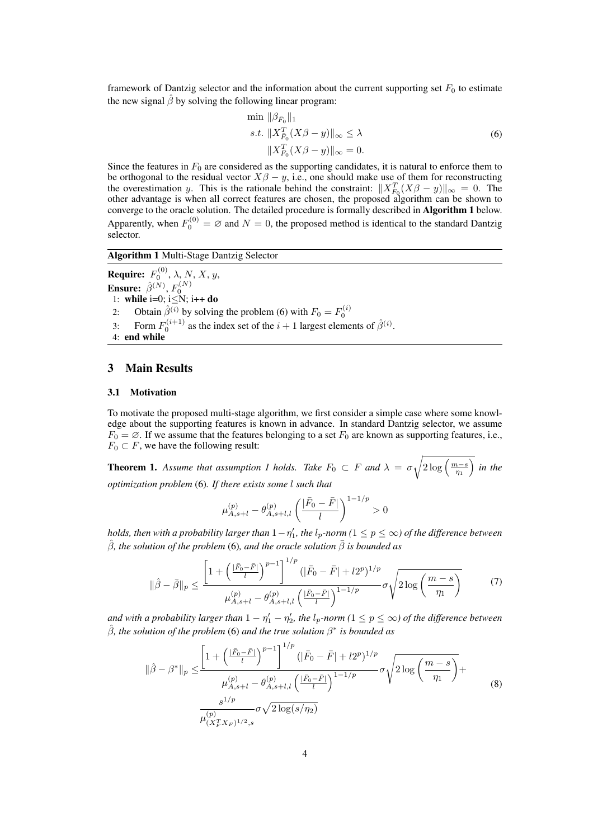framework of Dantzig selector and the information about the current supporting set  $F_0$  to estimate the new signal  $\hat{\beta}$  by solving the following linear program:

$$
\min \|\beta_{\bar{F}_0}\|_1
$$
  
s.t. 
$$
\|X_{\bar{F}_0}^T(X\beta - y)\|_{\infty} \le \lambda
$$

$$
\|X_{F_0}^T(X\beta - y)\|_{\infty} = 0.
$$

$$
(6)
$$

Since the features in  $F_0$  are considered as the supporting candidates, it is natural to enforce them to be orthogonal to the residual vector  $X\beta - y$ , i.e., one should make use of them for reconstructing the overestimation y. This is the rationale behind the constraint:  $||X_{F_0}^T(X\beta - y)||_{\infty} = 0$ . The other advantage is when all correct features are chosen, the proposed algorithm can be shown to converge to the oracle solution. The detailed procedure is formally described in Algorithm 1 below. Apparently, when  $F_0^{(0)} = \varnothing$  and  $N = 0$ , the proposed method is identical to the standard Dantzig selector.

## Algorithm 1 Multi-Stage Dantzig Selector

**Require:**  $F_0^{(0)}$ ,  $\lambda$ , N, X, y, **Ensure:**  $\hat{\beta}^{(N)}$ ,  $F_0^{(N)}$ 1: while i=0;  $i \le N$ ;  $i++$  do 2: Obtain  $\hat{\beta}^{(i)}$  by solving the problem (6) with  $F_0 = F_0^{(i)}$ 3: Form  $F_0^{(i+1)}$  as the index set of the  $i+1$  largest elements of  $\hat{\beta}^{(i)}$ . 4: end while

## 3 Main Results

### 3.1 Motivation

To motivate the proposed multi-stage algorithm, we first consider a simple case where some knowledge about the supporting features is known in advance. In standard Dantzig selector, we assume  $F_0 = \emptyset$ . If we assume that the features belonging to a set  $F_0$  are known as supporting features, i.e.,  $F_0 \subset F$ , we have the following result:

**Theorem 1.** Assume that assumption 1 holds. Take  $F_0 \subset F$  and  $\lambda = \sigma$  $\sqrt{2\log\left(\frac{m-s}{\eta_1}\right)}$  $\overline{a}$ *in the optimization problem* (6)*. If there exists some* l *such that*

$$
\mu^{(p)}_{A,s+l} - \theta^{(p)}_{A,s+l,l} \left( \frac{|\bar{F}_0 - \bar{F}|}{l} \right)^{1-1/p} > 0
$$

*holds, then with a probability larger than*  $1 - \eta_1'$ *, the l<sub>p</sub>-norm (* $1 \leq p \leq \infty$ *) of the difference between*  $\hat{\beta}$ , the solution of the problem (6), and the oracle solution  $\bar{\beta}$  is bounded as

$$
\|\hat{\beta} - \bar{\beta}\|_{p} \le \frac{\left[1 + \left(\frac{|\bar{F}_{0} - \bar{F}|}{l}\right)^{p-1}\right]^{1/p} (|\bar{F}_{0} - \bar{F}| + l2^{p})^{1/p}}{\mu_{A, s+l}^{(p)} - \theta_{A, s+l,l}^{(p)} \left(\frac{|\bar{F}_{0} - \bar{F}|}{l}\right)^{1-1/p}} \sigma \sqrt{2 \log\left(\frac{m-s}{\eta_{1}}\right)}\tag{7}
$$

and with a probability larger than  $1 - \eta_1' - \eta_2'$ , the l<sub>p</sub>-norm ( $1 \leq p \leq \infty$ ) of the difference between  $\hat{\beta}$ , the solution of the problem (6) and the true solution  $\beta^*$  is bounded as

$$
\|\hat{\beta} - \beta^*\|_p \le \frac{\left[1 + \left(\frac{|\bar{F}_0 - \bar{F}|}{l}\right)^{p-1}\right]^{1/p} (|\bar{F}_0 - \bar{F}| + l2^p)^{1/p}}{\mu_{A, s+l}^{(p)} - \theta_{A, s+l,l}^{(p)} \left(\frac{|\bar{F}_0 - \bar{F}|}{l}\right)^{1-1/p}} \sigma \sqrt{2 \log\left(\frac{m-s}{\eta_1}\right)} + \frac{s^{1/p}}{\mu_{(X_F^T X_F)^{1/2}, s}^{(p)}} \sigma \sqrt{2 \log(s/\eta_2)} \tag{8}
$$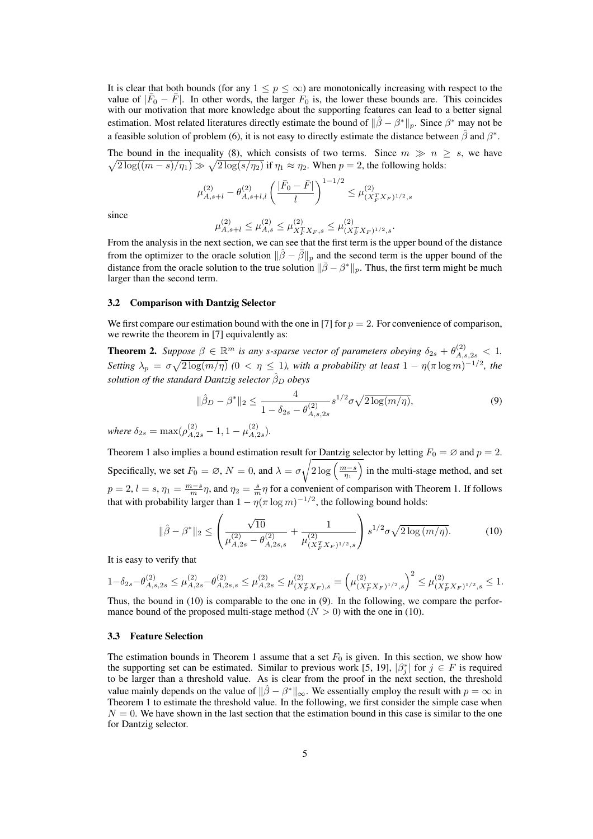It is clear that both bounds (for any  $1 \leq p \leq \infty$ ) are monotonically increasing with respect to the value of  $|\bar{F}_0 - \bar{F}|$ . In other words, the larger  $F_0$  is, the lower these bounds are. This coincides with our motivation that more knowledge about the supporting features can lead to a better signal estimation. Most related literatures directly estimate the bound of  $\|\hat{\beta} - \beta^*\|_p$ . Since  $\beta^*$  may not be a feasible solution of problem (6), it is not easy to directly estimate the distance between  $\hat{\beta}$  and  $\beta^*$ .

The bound in the inequality (8), which consists of two terms. Since  $m \gg n \geq s$ , we have  $2\log((m-s)/\eta_1) \gg \sqrt{2\log(s/\eta_2)}$  if  $\eta_1 \approx \eta_2$ . When  $p=2$ , the following holds:

$$
\mu_{A,s+l}^{(2)} - \theta_{A,s+l,l}^{(2)} \left( \frac{|\bar{F}_0 - \bar{F}|}{l} \right)^{1-1/2} \leq \mu_{(X_F^T X_F)^{1/2},s}^{(2)}
$$

since

$$
\mu^{(2)}_{A,s+l} \leq \mu^{(2)}_{A,s} \leq \mu^{(2)}_{X^T_{F}X_{F},s} \leq \mu^{(2)}_{(X^T_{F}X_{F})^{1/2},s}.
$$

From the analysis in the next section, we can see that the first term is the upper bound of the distance from the optimizer to the oracle solution  $\|\hat{\beta} - \bar{\beta}\|_p$  and the second term is the upper bound of the distance from the oracle solution to the true solution  $\|\bar{\beta} - \beta^*\|_p$ . Thus, the first term might be much larger than the second term.

### 3.2 Comparison with Dantzig Selector

We first compare our estimation bound with the one in [7] for  $p = 2$ . For convenience of comparison, we rewrite the theorem in [7] equivalently as:

**Theorem 2.** Suppose  $\beta \in \mathbb{R}^m$  is any s-sparse vector of parameters obeying  $\delta_{2s} + \theta_{A,s,2s}^{(2)} < 1$ . *Setting*  $\lambda_p = \sigma$  $_{\rm \nu}^{\rm \nu}$  $\sqrt{2\log(m/\eta)}$  (0 <  $\eta \leq 1$ ), with a probability at least  $1 - \eta(\pi \log m)^{-1/2}$ , the *solution of the standard Dantzig selector*  $\hat{\beta}_D$  *obeys* 

$$
\|\hat{\beta}_D - \beta^*\|_2 \le \frac{4}{1 - \delta_{2s} - \theta_{A,s,2s}^{(2)}} s^{1/2} \sigma \sqrt{2 \log(m/\eta)},
$$
\n(9)

where  $\delta_{2s} = \max(\rho_{A,2s}^{(2)} - 1, 1 - \mu_{A,2s}^{(2)})$  $_{A,2s}^{(2)}$ .

Theorem 1 also implies a bound estimation result for Dantzig selector by letting  $F_0 = \emptyset$  and  $p = 2$ . Specifically, we set  $F_0 = \emptyset$ ,  $N = 0$ , and  $\lambda = \sigma \sqrt{2 \log \left( \frac{m-s}{\eta_1} \right)}$  $\frac{1}{\sqrt{2}}$ in the multi-stage method, and set  $p = 2$ ,  $l = s$ ,  $\eta_1 = \frac{m-s}{m}\eta$ , and  $\eta_2 = \frac{s}{m}\eta$  for a convenient of comparison with Theorem 1. If follows that with probability larger than  $1 - \eta(\pi \log m)^{-1/2}$ , the following bound holds:  $\overline{\phantom{a}}$  $\mathbf{r}$ 

$$
\|\hat{\beta} - \beta^*\|_2 \le \left(\frac{\sqrt{10}}{\mu_{A,2s}^{(2)} - \theta_{A,2s,s}^{(2)}} + \frac{1}{\mu_{(X_F^T X_F)^{1/2},s}^{(2)}}\right) s^{1/2} \sigma \sqrt{2 \log(m/\eta)}. \tag{10}
$$

It is easy to verify that

$$
1-\delta_{2s}-\theta^{(2)}_{A,s,2s}\leq \mu^{(2)}_{A,2s}-\theta^{(2)}_{A,2s,s}\leq \mu^{(2)}_{A,2s}\leq \mu^{(2)}_{(X_F^TX_F),s}=\left(\mu^{(2)}_{(X_F^TX_F)^{1/2},s}\right)^2\leq \mu^{(2)}_{(X_F^TX_F)^{1/2},s}\leq 1.
$$

Thus, the bound in (10) is comparable to the one in (9). In the following, we compare the performance bound of the proposed multi-stage method  $(N > 0)$  with the one in (10).

### 3.3 Feature Selection

The estimation bounds in Theorem 1 assume that a set  $F_0$  is given. In this section, we show how the supporting set can be estimated. Similar to previous work [5, 19],  $|\beta_j^*|$  for  $j \in F$  is required to be larger than a threshold value. As is clear from the proof in the next section, the threshold value mainly depends on the value of  $\|\hat{\beta} - \beta^*\|_{\infty}$ . We essentially employ the result with  $p = \infty$  in Theorem 1 to estimate the threshold value. In the following, we first consider the simple case when  $N = 0$ . We have shown in the last section that the estimation bound in this case is similar to the one for Dantzig selector.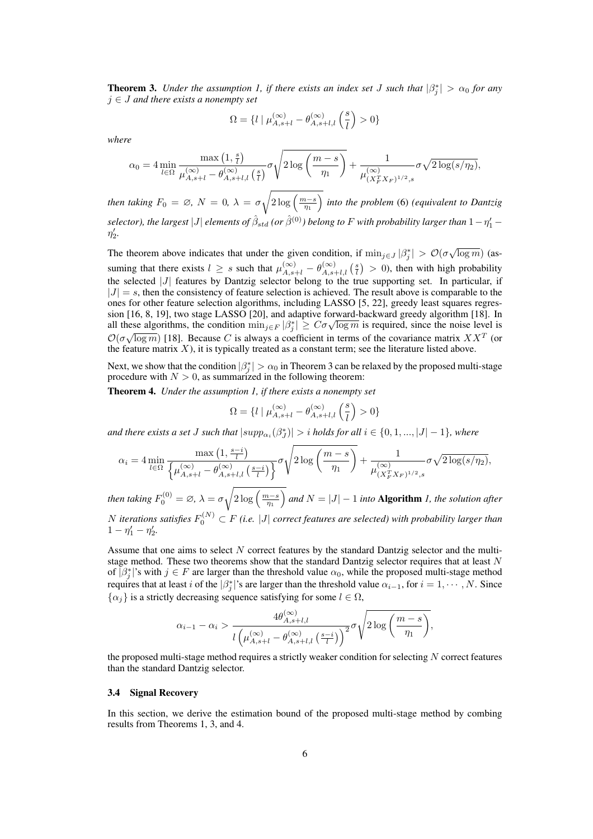**Theorem 3.** *Under the assumption 1, if there exists an index set J such that*  $|\beta_j^*| > \alpha_0$  *for any* j ∈ J *and there exists a nonempty set*

$$
\Omega = \{ l \mid \mu_{A,s+l}^{(\infty)} - \theta_{A,s+l,l}^{(\infty)} \left( \frac{s}{l} \right) > 0 \}
$$

*where*

$$
\alpha_0 = 4 \min_{l \in \Omega} \frac{\max\left(1, \frac{s}{l}\right)}{\mu_{A,s+l}^{(\infty)} - \theta_{A,s+l,l}^{(\infty)}\left(\frac{s}{l}\right)} \sigma \sqrt{2 \log\left(\frac{m-s}{\eta_1}\right)} + \frac{1}{\mu_{(X_F^T X_F)^{1/2},s}^{(\infty)}} \sigma \sqrt{2 \log(s/\eta_2)},
$$

*then taking*  $F_0 = \emptyset$ ,  $N = 0$ ,  $\lambda = \sigma$  $\sqrt{2\log\left(\frac{m-s}{\eta_1}\right)}$ *into the problem* (6) *(equivalent to Dantzig*  $s$ elector), the largest  $|J|$  elements of  $\hat\beta_{std}$  (or  $\hat\beta^{(0)}$ ) belong to  $F$  with probability larger than  $1-\eta'_1-\eta'_2$  $\eta'_{2}$ .

The theorem above indicates that under the given condition, if  $\min_{j \in J} |\beta_j^*| > \mathcal{O}(\sigma \sqrt{\log m})$  (assuming that there exists  $l \geq s$  such that  $\mu_{A,s+l}^{(\infty)} - \theta_{A,s+l,l}^{(\infty)}$  ( $\frac{s}{l}$ ) ¢  $>$  0), then with high probability the selected  $|J|$  features by Dantzig selector belong to the true supporting set. In particular, if  $|J| = s$ , then the consistency of feature selection is achieved. The result above is comparable to the ones for other feature selection algorithms, including LASSO [5, 22], greedy least squares regression [16, 8, 19], two stage LASSO [20], and adaptive forward-backward greedy algorithm [18]. In sion [16, 8, 19], two stage LASSO [20], and adaptive forward-backward greedy algorithm [18]. In<br>all these algorithms, the condition  $\min_{j \in F} |\beta_j^*| \geq C \sigma \sqrt{\log m}$  is required, since the noise level is  $\mathcal{O}(\sigma\sqrt{\log m})$  [18]. Because C is always a coefficient in terms of the covariance matrix  $XX<sup>T</sup>$  (or the feature matrix  $X$ ), it is typically treated as a constant term; see the literature listed above.

Next, we show that the condition  $|\beta_j^*| > \alpha_0$  in Theorem 3 can be relaxed by the proposed multi-stage procedure with  $N > 0$ , as summarized in the following theorem:

Theorem 4. *Under the assumption 1, if there exists a nonempty set*

$$
\Omega = \{ l \mid \mu_{A,s+l}^{(\infty)} - \theta_{A,s+l,l}^{(\infty)} \left( \frac{s}{l} \right) > 0 \}
$$

and there exists a set  $J$  such that  $|supp_{\alpha_i}(\beta_j^*)| > i$  holds for all  $i \in \{0, 1, ..., |J| - 1\}$ , where

$$
\alpha_i = 4 \min_{l \in \Omega} \frac{\max\left(1, \frac{s-i}{l}\right)}{\left\{\mu_{A,s+l}^{(\infty)} - \theta_{A,s+l,l}^{(\infty)}\left(\frac{s-i}{l}\right)\right\}} \sigma \sqrt{2 \log\left(\frac{m-s}{\eta_1}\right)} + \frac{1}{\mu_{(X_F^T X_F)^{1/2},s}^{(\infty)}} \sigma \sqrt{2 \log(s/\eta_2)},
$$

*then taking*  $F_0^{(0)} = \varnothing$ ,  $\lambda = \sigma \sqrt{2 \log \left( \frac{m-s}{\eta_1} \right)}$ *and*  $N = |J| - 1$  *into* **Algorithm** *1, the solution after* N iterations satisfies  $F_0^{(N)} \subset F$  (i.e.  $|J|$  correct features are selected) with probability larger than  $1 - \eta'_1 - \eta'_2.$ 

Assume that one aims to select N correct features by the standard Dantzig selector and the multistage method. These two theorems show that the standard Dantzig selector requires that at least N of  $\overline{[\beta_j^*]}$ 's with  $j \in F$  are larger than the threshold value  $\alpha_0$ , while the proposed multi-stage method requires that at least i of the  $|\beta_j^*|$ 's are larger than the threshold value  $\alpha_{i-1}$ , for  $i = 1, \cdots, N$ . Since  $\{\alpha_i\}$  is a strictly decreasing sequence satisfying for some  $l \in \Omega$ ,

$$
\alpha_{i-1} - \alpha_i > \frac{4\theta_{A,s+l,l}^{(\infty)}}{l\left(\mu_{A,s+l}^{(\infty)} - \theta_{A,s+l,l}^{(\infty)}\left(\frac{s-i}{l}\right)\right)^2} \sigma \sqrt{2\log\left(\frac{m-s}{\eta_1}\right)},
$$

the proposed multi-stage method requires a strictly weaker condition for selecting  $N$  correct features than the standard Dantzig selector.

## 3.4 Signal Recovery

In this section, we derive the estimation bound of the proposed multi-stage method by combing results from Theorems 1, 3, and 4.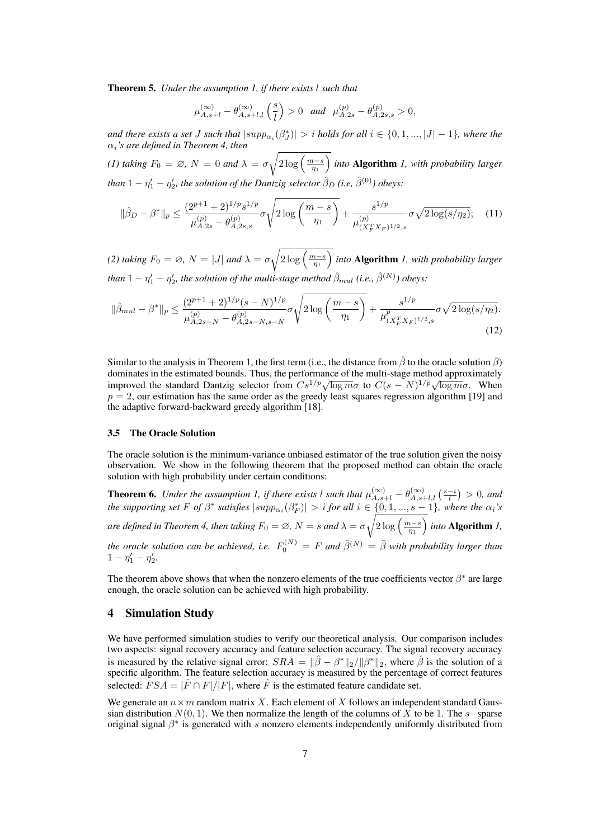Theorem 5. *Under the assumption 1, if there exists* l *such that*

$$
\mu^{(\infty)}_{A,s+l}-\theta^{(\infty)}_{A,s+l,l}\left(\frac{s}{l}\right)>0\quad and\quad \mu^{(p)}_{A,2s}-\theta^{(p)}_{A,2s,s}>0,
$$

and there exists a set *J* such that  $|supp_{\alpha_i}(\beta_j^*)| > i$  holds for all  $i \in \{0, 1, ..., |J| - 1\}$ , where the αi*'s are defined in Theorem 4, then*  $\overline{\phantom{a}}$ 

*(1) taking*  $F_0 = \emptyset$ ,  $N = 0$  *and*  $\lambda = \sigma$  $\sqrt{2\log\left(\frac{m-s}{\eta_1}\right)}$ *into* Algorithm *1, with probability larger than*  $1 - \eta'_1 - \eta'_2$ , the solution of the Dantzig selector  $\hat{\beta}_D$  (i.e,  $\hat{\beta}^{(0)}$ ) obeys:

$$
\|\hat{\beta}_D - \beta^*\|_p \le \frac{(2^{p+1} + 2)^{1/p} s^{1/p}}{\mu_{A,2s}^{(p)} - \theta_{A,2s,s}^{(p)}} \sigma \sqrt{2 \log\left(\frac{m-s}{\eta_1}\right)} + \frac{s^{1/p}}{\mu_{(X_F^T X_F)^{1/2},s}^{(p)}} \sigma \sqrt{2 \log(s/\eta_2)}; \quad (11)
$$

*(2) taking*  $F_0 = \emptyset$ ,  $N = |J|$  *and*  $\lambda = \sigma$  $\sqrt{2\log\left(\frac{m-s}{\eta_1}\right)}$  $\overline{a}$ *into* Algorithm *1, with probability larger than*  $1 - \eta'_1 - \eta'_2$ , the solution of the multi-stage method  $\hat{\beta}_{mul}$  (i.e.,  $\hat{\beta}^{(N)}$ ) obeys:

$$
\|\hat{\beta}_{mul} - \beta^*\|_p \le \frac{(2^{p+1} + 2)^{1/p} (s - N)^{1/p}}{\mu_{A,2s - N}^{(p)} - \theta_{A,2s - N,s - N}^{(p)}} \sigma \sqrt{2 \log \left(\frac{m - s}{\eta_1}\right)} + \frac{s^{1/p}}{\mu_{(X_F^T X_F)^{1/2},s}^p} \sigma \sqrt{2 \log(s/\eta_2)}.
$$
\n(12)

Similar to the analysis in Theorem 1, the first term (i.e., the distance from  $\hat{\beta}$  to the oracle solution  $\hat{\beta}$ ) dominates in the estimated bounds. Thus, the performance of the multi-stage method approximately dominates in the estimated bounds. Thus, the performance of the multi-stage method approximately<br>improved the standard Dantzig selector from  $Cs^{1/p}\sqrt{\log m\sigma}$  to  $C(s - N)^{1/p}\sqrt{\log m\sigma}$ . When  $p = 2$ , our estimation has the same order as the greedy least squares regression algorithm [19] and the adaptive forward-backward greedy algorithm [18].

#### 3.5 The Oracle Solution

The oracle solution is the minimum-variance unbiased estimator of the true solution given the noisy observation. We show in the following theorem that the proposed method can obtain the oracle solution with high probability under certain conditions:

**Theorem 6.** *Under the assumption 1, if there exists l such that*  $\mu_{A,s+l}^{(\infty)} - \theta_{A,s+l,l}^{(\infty)}$  ( $\frac{s-i}{l}$ ¢ > 0*, and the supporting set*  $F$  *of*  $\beta^*$  *satisfies*  $|supp_{\alpha_i}(\beta_F^*)| > i$  *for all*  $i \in \{0, 1, ..., s-1\}$ *, where the*  $\alpha_i$ *'s*  $\alpha$ *re defined in Theorem 4, then taking*  $F_0 = \varnothing$ *,*  $N = s$  *and*  $\lambda = \sigma$  $\frac{1}{\sqrt{2 \log \left(\frac{m-s}{\eta_1}\right)}}$  $\overline{a}$ *into* Algorithm *1, the oracle solution can be achieved, i.e.*  $F_0^{(N)} = F$  *and*  $\hat{\beta}^{(N)} = \bar{\beta}$  *with probability larger than*  $1 - \eta'_1 - \eta'_2.$ 

The theorem above shows that when the nonzero elements of the true coefficients vector  $\beta^*$  are large enough, the oracle solution can be achieved with high probability.

## 4 Simulation Study

We have performed simulation studies to verify our theoretical analysis. Our comparison includes two aspects: signal recovery accuracy and feature selection accuracy. The signal recovery accuracy is measured by the relative signal error:  $SRA = ||\hat{\beta} - \beta^*||_2/||\beta^*||_2$ , where  $\hat{\beta}$  is the solution of a specific algorithm. The feature selection accuracy is measured by the percentage of correct features selected:  $FSA = |\hat{F} \cap F|/|F|$ , where  $\hat{F}$  is the estimated feature candidate set.

We generate an  $n \times m$  random matrix X. Each element of X follows an independent standard Gaussian distribution  $N(0, 1)$ . We then normalize the length of the columns of X to be 1. The s−sparse original signal  $\beta^*$  is generated with s nonzero elements independently uniformly distributed from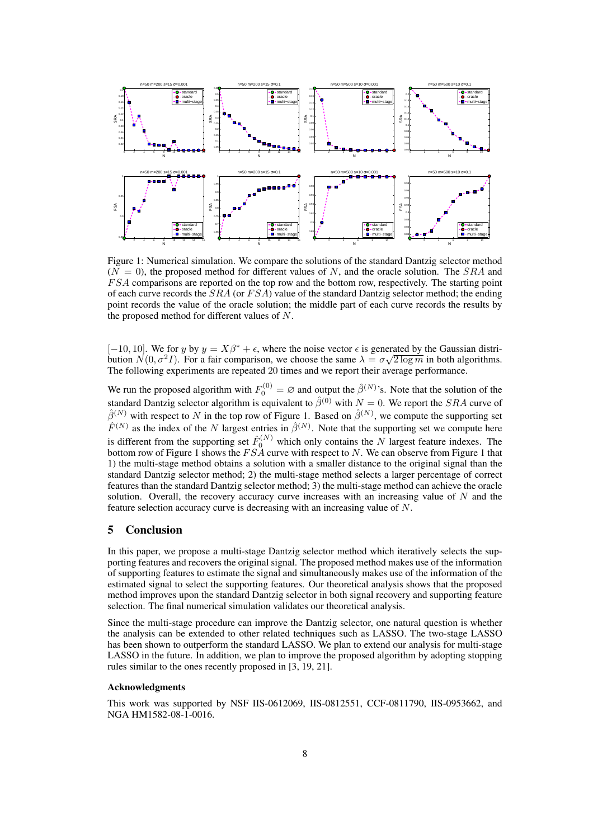

Figure 1: Numerical simulation. We compare the solutions of the standard Dantzig selector method  $(N = 0)$ , the proposed method for different values of N, and the oracle solution. The SRA and F SA comparisons are reported on the top row and the bottom row, respectively. The starting point of each curve records the  $SRA$  (or  $FSA$ ) value of the standard Dantzig selector method; the ending point records the value of the oracle solution; the middle part of each curve records the results by the proposed method for different values of N.

 $[-10, 10]$ . We for y by  $y = X\beta^* + \epsilon$ , where the noise vector  $\epsilon$  is generated by the Gaussian distribution  $N(0, \sigma^2 I)$ . For a fair comparison, we choose the same  $\lambda = \sigma \sqrt{2 \log m}$  in both algorithms. The following experiments are repeated 20 times and we report their average performance.

We run the proposed algorithm with  $F_0^{(0)} = \varnothing$  and output the  $\hat{\beta}^{(N)}$ 's. Note that the solution of the standard Dantzig selector algorithm is equivalent to  $\hat{\beta}^{(0)}$  with  $N = 0$ . We report the SRA curve of  $\hat{\beta}^{(N)}$  with respect to N in the top row of Figure 1. Based on  $\hat{\beta}^{(N)}$ , we compute the supporting set  $\hat{F}^{(N)}$  as the index of the N largest entries in  $\hat{\beta}^{(N)}$ . Note that the supporting set we compute here is different from the supporting set  $\hat{F}_0^{(N)}$  which only contains the N largest feature indexes. The bottom row of Figure 1 shows the  $FS\overline{A}$  curve with respect to N. We can observe from Figure 1 that 1) the multi-stage method obtains a solution with a smaller distance to the original signal than the standard Dantzig selector method; 2) the multi-stage method selects a larger percentage of correct features than the standard Dantzig selector method; 3) the multi-stage method can achieve the oracle solution. Overall, the recovery accuracy curve increases with an increasing value of  $N$  and the feature selection accuracy curve is decreasing with an increasing value of N.

## 5 Conclusion

In this paper, we propose a multi-stage Dantzig selector method which iteratively selects the supporting features and recovers the original signal. The proposed method makes use of the information of supporting features to estimate the signal and simultaneously makes use of the information of the estimated signal to select the supporting features. Our theoretical analysis shows that the proposed method improves upon the standard Dantzig selector in both signal recovery and supporting feature selection. The final numerical simulation validates our theoretical analysis.

Since the multi-stage procedure can improve the Dantzig selector, one natural question is whether the analysis can be extended to other related techniques such as LASSO. The two-stage LASSO has been shown to outperform the standard LASSO. We plan to extend our analysis for multi-stage LASSO in the future. In addition, we plan to improve the proposed algorithm by adopting stopping rules similar to the ones recently proposed in [3, 19, 21].

#### Acknowledgments

This work was supported by NSF IIS-0612069, IIS-0812551, CCF-0811790, IIS-0953662, and NGA HM1582-08-1-0016.